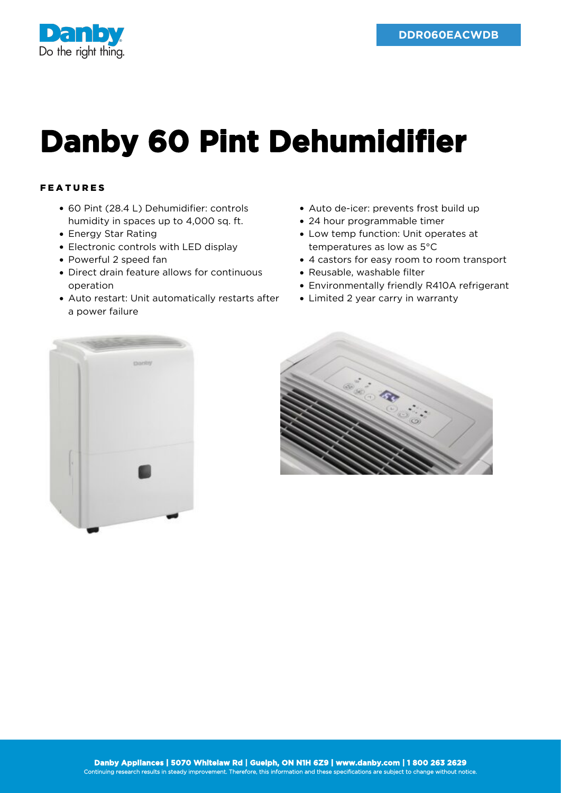

## **Danby 60 Pint Dehumidifier**

## FEATURES

- 60 Pint (28.4 L) Dehumidifier: controls humidity in spaces up to 4,000 sq. ft.
- Energy Star Rating
- Electronic controls with LED display
- Powerful 2 speed fan
- Direct drain feature allows for continuous operation
- Auto restart: Unit automatically restarts after a power failure
- Auto de-icer: prevents frost build up
- 24 hour programmable timer
- Low temp function: Unit operates at temperatures as low as 5°C
- 4 castors for easy room to room transport
- Reusable, washable filter
- Environmentally friendly R410A refrigerant
- Limited 2 year carry in warranty